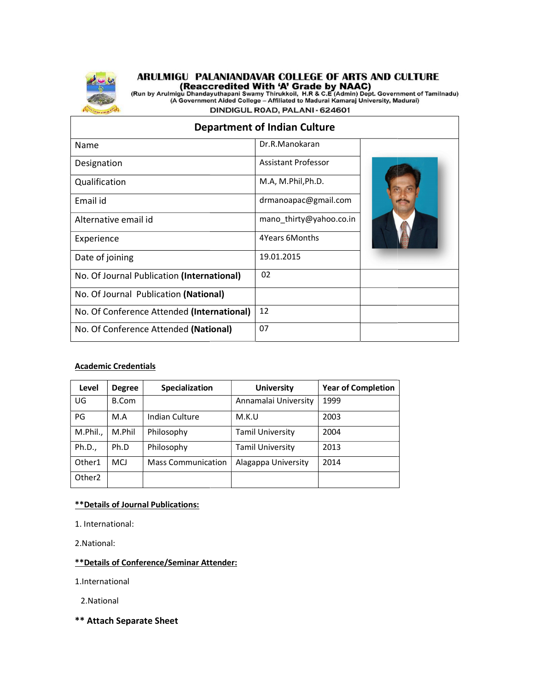

# **ARULMIGU PALANIANDAVAR COLLEGE OF ARTS AND CULTURE<br>(Reaccredited With 'A' Grade by NAAC)<br>(Run by Arulmigu Dhandayuthapani Swamy Thirukkoil, H.R & C.E (Admin) Dept. Government of Tamilnadu)<br>(A Government Aided College – Af**

DINDIGUL ROAD, PALANI - 624601

### Department of Indian Culture

| Name                                       | Dr.R.Manokaran             |  |
|--------------------------------------------|----------------------------|--|
| Designation                                | <b>Assistant Professor</b> |  |
| Qualification                              | M.A, M.Phil, Ph.D.         |  |
| Email id                                   | drmanoapac@gmail.com       |  |
| Alternative email id                       | mano_thirty@yahoo.co.in    |  |
| Experience                                 | 4Years 6Months             |  |
| Date of joining                            | 19.01.2015                 |  |
| No. Of Journal Publication (International) | 02                         |  |
| No. Of Journal Publication (National)      |                            |  |
| No. Of Conference Attended (International) | 12                         |  |
| No. Of Conference Attended (National)      | 07                         |  |
|                                            |                            |  |

#### Academic Credentials

| Level              | <b>Degree</b> | Specialization            | <b>University</b>       | <b>Year of Completion</b> |
|--------------------|---------------|---------------------------|-------------------------|---------------------------|
| UG                 | B.Com         |                           | Annamalai University    | 1999                      |
| PG                 | M.A           | Indian Culture            | M.K.U                   | 2003                      |
| M.Phil.,           | M.Phil        | Philosophy                | <b>Tamil University</b> | 2004                      |
| Ph.D.,             | Ph.D          | Philosophy                | <b>Tamil University</b> | 2013                      |
| Other1             | <b>MCJ</b>    | <b>Mass Communication</b> | Alagappa University     | 2014                      |
| Other <sub>2</sub> |               |                           |                         |                           |

#### \*\*Details of Journal Publications:

- 1. International:
- 2.National:

#### \*\*Details of Conference/Seminar Attender:

1.International

2.National

\*\* Attach Separate Sheet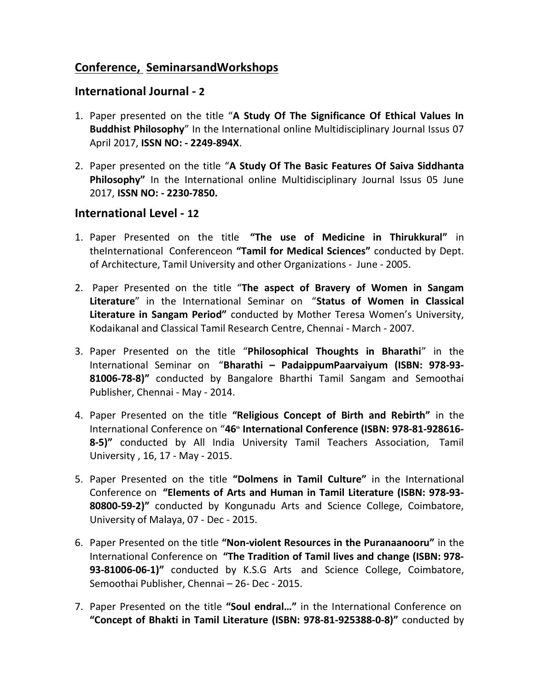## Conference, SeminarsandWorkshops

## International Journal - 2

- 1. Paper presented on the title "A Study Of The Significance Of Ethical Values In Buddhist Philosophy" In the International online Multidisciplinary Journal Issus 07 April 2017, ISSN NO: - 2249-894X.
- 2. Paper presented on the title "A Study Of The Basic Features Of Saiva Siddhanta Philosophy" In the International online Multidisciplinary Journal Issus 05 June 2017, ISSN NO: - 2230-7850.

## International Level - 12

- 1. Paper Presented on the title "The use of Medicine in Thirukkural" in theInternational Conferenceon "Tamil for Medical Sciences" conducted by Dept. of Architecture, Tamil University and other Organizations - June - 2005.
- 2. Paper Presented on the title "The aspect of Bravery of Women in Sangam Literature" in the International Seminar on "Status of Women in Classical Literature in Sangam Period" conducted by Mother Teresa Women's University, Kodaikanal and Classical Tamil Research Centre, Chennai - March - 2007.
- 3. Paper Presented on the title "Philosophical Thoughts in Bharathi" in the International Seminar on "Bharathi – PadaippumPaarvaiyum (ISBN: 978-93- 81006-78-8)" conducted by Bangalore Bharthi Tamil Sangam and Semoothai Publisher, Chennai - May - 2014.
- 4. Paper Presented on the title "Religious Concept of Birth and Rebirth" in the International Conference on "46<sup>th</sup> International Conference (ISBN: 978-81-928616-8-5)" conducted by All India University Tamil Teachers Association, Tamil University , 16, 17 - May - 2015.
- 5. Paper Presented on the title "Dolmens in Tamil Culture" in the International Conference on "Elements of Arts and Human in Tamil Literature (ISBN: 978-93- 80800-59-2)" conducted by Kongunadu Arts and Science College, Coimbatore, University of Malaya, 07 - Dec - 2015.
- 6. Paper Presented on the title "Non-violent Resources in the Puranaanooru" in the International Conference on "The Tradition of Tamil lives and change (ISBN: 978- 93-81006-06-1)" conducted by K.S.G Arts and Science College, Coimbatore, Semoothai Publisher, Chennai – 26- Dec - 2015.
- 7. Paper Presented on the title "Soul endral..." in the International Conference on "Concept of Bhakti in Tamil Literature (ISBN: 978-81-925388-0-8)" conducted by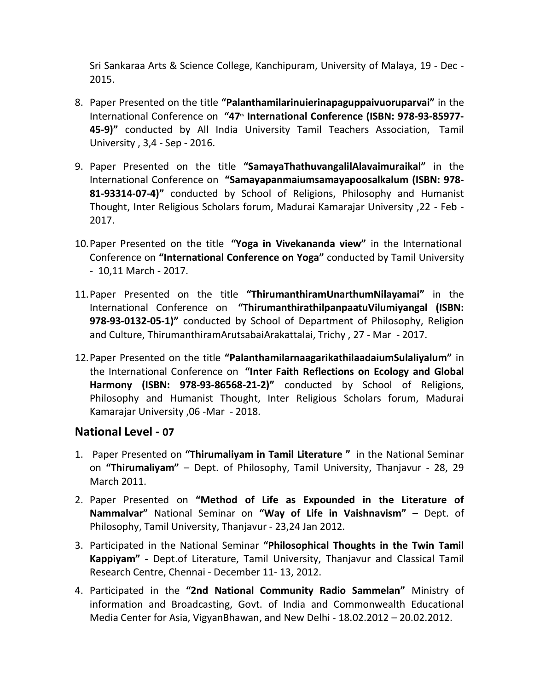Sri Sankaraa Arts & Science College, Kanchipuram, University of Malaya, 19 - Dec - 2015.

- 8. Paper Presented on the title "Palanthamilarinuierinapaguppaivuoruparvai" in the International Conference on "47<sup>th</sup> International Conference (ISBN: 978-93-85977-45-9)" conducted by All India University Tamil Teachers Association, Tamil University , 3,4 - Sep - 2016.
- 9. Paper Presented on the title "SamayaThathuvangalilAlavaimuraikal" in the International Conference on "Samayapanmaiumsamayapoosalkalum (ISBN: 978- 81-93314-07-4)" conducted by School of Religions, Philosophy and Humanist Thought, Inter Religious Scholars forum, Madurai Kamarajar University ,22 - Feb - 2017.
- 10. Paper Presented on the title "Yoga in Vivekananda view" in the International Conference on "International Conference on Yoga" conducted by Tamil University - 10,11 March - 2017.
- 11.Paper Presented on the title "ThirumanthiramUnarthumNilayamai" in the International Conference on "ThirumanthirathilpanpaatuVilumiyangal (ISBN: 978-93-0132-05-1)" conducted by School of Department of Philosophy, Religion and Culture, ThirumanthiramArutsabaiArakattalai, Trichy , 27 - Mar - 2017.
- 12.Paper Presented on the title "PalanthamilarnaagarikathilaadaiumSulaliyalum" in the International Conference on "Inter Faith Reflections on Ecology and Global Harmony (ISBN: 978-93-86568-21-2)" conducted by School of Religions, Philosophy and Humanist Thought, Inter Religious Scholars forum, Madurai Kamarajar University ,06 -Mar - 2018.

## National Level - 07

- 1. Paper Presented on "Thirumaliyam in Tamil Literature " in the National Seminar on "Thirumaliyam" – Dept. of Philosophy, Tamil University, Thanjavur - 28, 29 March 2011.
- 2. Paper Presented on "Method of Life as Expounded in the Literature of Nammalvar" National Seminar on "Way of Life in Vaishnavism" – Dept. of Philosophy, Tamil University, Thanjavur - 23,24 Jan 2012.
- 3. Participated in the National Seminar "Philosophical Thoughts in the Twin Tamil Kappiyam" - Dept.of Literature, Tamil University, Thanjavur and Classical Tamil Research Centre, Chennai - December 11- 13, 2012.
- 4. Participated in the "2nd National Community Radio Sammelan" Ministry of information and Broadcasting, Govt. of India and Commonwealth Educational Media Center for Asia, VigyanBhawan, and New Delhi - 18.02.2012 – 20.02.2012.